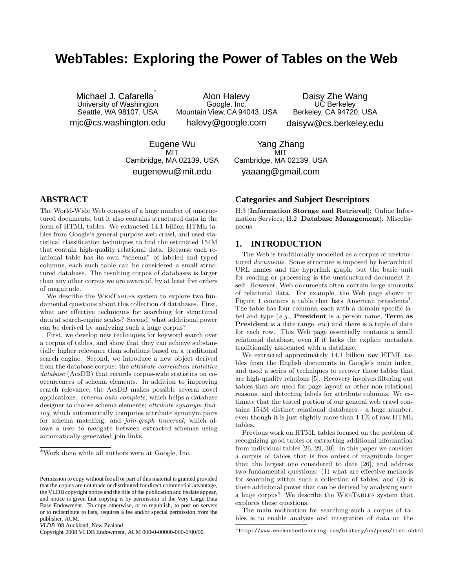# **WebTables: Exploring the Power of Tables on the Web**

Michael J. Cafarella<sup>\*</sup> University of Washington Seattle, WA 98107, USA mjc@cs.washington.edu

Alon Halevy Google, Inc. Mountain View, CA 94043, USA halevy@google.com

Daisy Zhe Wang UC Berkeley Berkeley, CA 94720, USA daisyw@cs.berkeley.edu

Eugene Wu MIT Cambridge, MA 02139, USA eugenewu@mit.edu

Yang Zhang MIT Cambridge, MA 02139, USA yaaang@gmail.com

# **ABSTRACT**

The World-Wide Web consists of a huge number of unstructured documents, but it also contains structured data in the form of HTML tables. We extracted 14.1 billion HTML tables from Google's general-purpose web crawl, and used statistical classification techniques to find the estimated 154M that contain high-quality relational data. Because each relational table has its own "schema" of labeled and typed columns, each such table can be considered a small structured database. The resulting corpus of databases is larger than any other corpus we are aware of, by at least five orders of magnitude.

We describe the WEBTABLES system to explore two fundamental questions about this collection of databases. First, what are effective techniques for searching for structured data at search-engine scales? Second, what additional power can be derived by analyzing such a huge corpus?

First, we develop new techniques for keyword search over a corpus of tables, and show that they can achieve substantially higher relevance than solutions based on a traditional search engine. Second, we introduce a new object derived from the database corpus: the attribute correlation statistics database (AcsDB) that records corpus-wide statistics on cooccurrences of schema elements. In addition to improving search relevance, the AcsDB makes possible several novel applications: schema auto-complete, which helps a database designer to choose schema elements; *attribute synonym find*ing, which automatically computes attribute synonym pairs for schema matching; and join-graph traversal, which allows a user to navigate between extracted schemas using automatically-generated join links.

*VLDB* '08 Auckland, New Zealand

Copyright 2008 VLDB Endowment, ACM 000-0-00000-000-0/00/00.

**Categories and Subject Descriptors**

H.3 [Information Storage and Retrieval]: Online Information Services; H.2 [Database Management]: Miscellaneous

## **1. INTRODUCTION**

The Web is traditionally modelled as a corpus of unstructured documents. Some structure is imposed by hierarchical URL names and the hyperlink graph, but the basic unit for reading or processing is the unstructured document itself. However, Web documents often contain large amounts of relational data. For example, the Web page shown in Figure 1 contains a table that lists American presidents<sup>1</sup>. The table has four columns, each with a domain-specific label and type  $(e.g.,$  President is a person name, Term as President is a date range, etc) and there is a tuple of data for each row. This Web page essentially contains a small relational database, even if it lacks the explicit metadata traditionally associated with a database.

We extracted approximately 14.1 billion raw HTML tables from the English documents in Google's main index, and used a series of techniques to recover those tables that are high-quality relations [5]. Recovery involves filtering out tables that are used for page layout or other non-relational reasons, and detecting labels for attribute columns. We estimate that the tested portion of our general web crawl contains 154M distinct relational databases - a huge number, even though it is just slightly more than 1.1% of raw HTML tables.

Previous work on HTML tables focused on the problem of recognizing good tables or extracting additional information from individual tables [26, 29, 30]. In this paper we consider a corpus of tables that is five orders of magnitude larger than the largest one considered to date [26], and address two fundamental questions: (1) what are effective methods for searching within such a collection of tables, and (2) is there additional power that can be derived by analyzing such a huge corpus? We describe the WebTables system that explores these questions.

The main motivation for searching such a corpus of tables is to enable analysis and integration of data on the

<sup>∗</sup>Work done while all authors were at Google, Inc.

Permission to copy without fee all or part of this material is granted provided that the copies are not made or distributed for direct commercial advantage, the VLDB copyright notice and the title of the publication and its date appear, and notice is given that copying is by permission of the Very Large Data Base Endowment. To copy otherwise, or to republish, to post on servers or to redistribute to lists, requires a fee and/or special permission from the publisher, ACM.

 $^{\rm 1}$ http://www.enchantedlearning.com/history/us/pres/list.shtml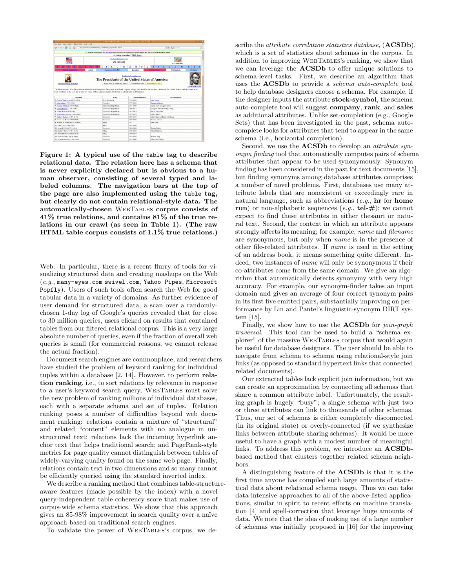

Figure 1: A typical use of the table tag to describe relational data. The relation here has a schema that is never explicitly declared but is obvious to a human observer, consisting of several typed and labeled columns. The navigation bars at the top of the page are also implemented using the table tag, but clearly do not contain relational-style data. The automatically-chosen WebTables corpus consists of 41% true relations, and contains 81% of the true relations in our crawl (as seen in Table 1). (The raw HTML table corpus consists of 1.1% true relations.)

Web. In particular, there is a recent flurry of tools for visualizing structured data and creating mashups on the Web (e.g., many-eyes.com swivel.com, Yahoo Pipes, Microsoft Popfly). Users of such tools often search the Web for good tabular data in a variety of domains. As further evidence of user demand for structured data, a scan over a randomlychosen 1-day log of Google's queries revealed that for close to 30 million queries, users clicked on results that contained tables from our filtered relational corpus. This is a very large absolute number of queries, even if the fraction of overall web queries is small (for commercial reasons, we cannot release the actual fraction).

Document search engines are commonplace, and researchers have studied the problem of keyword ranking for individual tuples within a database [2, 14]. However, to perform relation ranking, i.e., to sort relations by relevance in response to a user's keyword search query, WebTables must solve the new problem of ranking millions of individual databases, each with a separate schema and set of tuples. Relation ranking poses a number of difficulties beyond web document ranking: relations contain a mixture of "structural" and related "content" elements with no analogue in unstructured text; relations lack the incoming hyperlink anchor text that helps traditional search; and PageRank-style metrics for page quality cannot distinguish between tables of widely-varying quality found on the same web page. Finally, relations contain text in two dimensions and so many cannot be efficiently queried using the standard inverted index.

We describe a ranking method that combines table-structureaware features (made possible by the index) with a novel query-independent table coherency score that makes use of corpus-wide schema statistics. We show that this approach gives an 85-98% improvement in search quality over a naïve approach based on traditional search engines.

To validate the power of WebTables's corpus, we de-

scribe the *attribute correlation statistics database*,  $(ACSDD)$ , which is a set of statistics about schemas in the corpus. In addition to improving WebTables's ranking, we show that we can leverage the ACSDb to offer unique solutions to schema-level tasks. First, we describe an algorithm that uses the ACSDb to provide a schema auto-complete tool to help database designers choose a schema. For example, if the designer inputs the attribute stock-symbol, the schema auto-complete tool will suggest company, rank, and sales as additional attributes. Unlike set-completion (e.g., Google Sets) that has been investigated in the past, schema autocomplete looks for attributes that tend to appear in the same schema (i.e., horizontal completion).

Second, we use the **ACSDb** to develop an *attribute syn*onym finding tool that automatically computes pairs of schema attributes that appear to be used synonymously. Synonym finding has been considered in the past for text documents [15], but finding synonyms among database attributes comprises a number of novel problems. First, databases use many attribute labels that are nonexistent or exceedingly rare in natural language, such as abbreviations (e.g.,  $\mathbf{hr}$  for home run) or non-alphabetic sequences  $(e.g., \text{tel-#})$ ; we cannot expect to find these attributes in either thesauri or natural text. Second, the context in which an attribute appears strongly affects its meaning; for example, name and filename are synonymous, but only when name is in the presence of other file-related attributes. If name is used in the setting of an address book, it means something quite different. Indeed, two instances of name will only be synonymous if their co-attributes come from the same domain. We give an algorithm that automatically detects synonymy with very high accuracy. For example, our synonym-finder takes an input domain and gives an average of four correct synonym pairs in its first five emitted pairs, substantially improving on performance by Lin and Pantel's linguistic-synonym DIRT system [15].

Finally, we show how to use the **ACSDb** for *join-graph* traversal. This tool can be used to build a "schema explorer" of the massive WebTables corpus that would again be useful for database designers. The user should be able to navigate from schema to schema using relational-style join links (as opposed to standard hypertext links that connected related documents).

Our extracted tables lack explicit join information, but we can create an approximation by connecting all schemas that share a common attribute label. Unfortunately, the resulting graph is hugely "busy"; a single schema with just two or three attributes can link to thousands of other schemas. Thus, our set of schemas is either completely disconnected (in its original state) or overly-connected (if we synthesize links between attribute-sharing schemas). It would be more useful to have a graph with a modest number of meaningful links. To address this problem, we introduce an ACSDbbased method that clusters together related schema neighbors.

A distinguishing feature of the ACSDb is that it is the first time anyone has compiled such large amounts of statistical data about relational schema usage. Thus we can take data-intensive approaches to all of the above-listed applications, similar in spirit to recent efforts on machine translation [4] and spell-correction that leverage huge amounts of data. We note that the idea of making use of a large number of schemas was initially proposed in [16] for the improving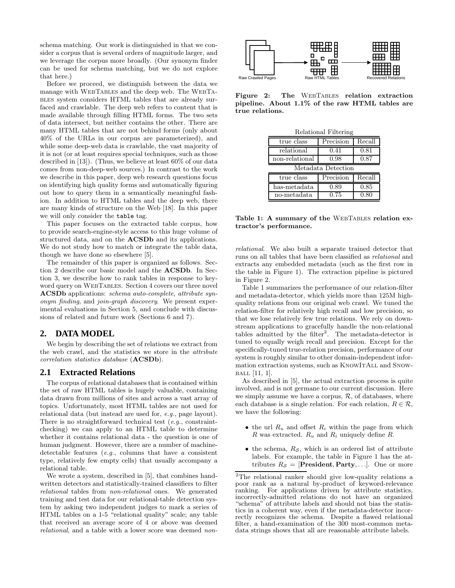schema matching. Our work is distinguished in that we consider a corpus that is several orders of magnitude larger, and we leverage the corpus more broadly. (Our synonym finder can be used for schema matching, but we do not explore that here.)

Before we proceed, we distinguish between the data we manage with WEBTABLES and the deep web. The WEBTAbles system considers HTML tables that are already surfaced and crawlable. The deep web refers to content that is made available through filling HTML forms. The two sets of data intersect, but neither contains the other. There are many HTML tables that are not behind forms (only about 40% of the URLs in our corpus are parameterized), and while some deep-web data is crawlable, the vast majority of it is not (or at least requires special techniques, such as those described in [13]). (Thus, we believe at least 60% of our data comes from non-deep-web sources.) In contrast to the work we describe in this paper, deep web research questions focus on identifying high quality forms and automatically figuring out how to query them in a semantically meaningful fashion. In addition to HTML tables and the deep web, there are many kinds of structure on the Web [18]. In this paper we will only consider the table tag.

This paper focuses on the extracted table corpus, how to provide search-engine-style access to this huge volume of structured data, and on the ACSDb and its applications. We do not study how to match or integrate the table data, though we have done so elsewhere [5].

The remainder of this paper is organized as follows. Section 2 describe our basic model and the ACSDb. In Section 3, we describe how to rank tables in response to keyword query on WEBTABLES. Section 4 covers our three novel ACSDb applications: schema auto-complete, attribute synonym finding, and join-graph discovery. We present experimental evaluations in Section 5, and conclude with discussions of related and future work (Sections 6 and 7).

#### **2. DATA MODEL**

We begin by describing the set of relations we extract from the web crawl, and the statistics we store in the attribute correlation statistics database (ACSDb).

# **2.1 Extracted Relations**

The corpus of relational databases that is contained within the set of raw HTML tables is hugely valuable, containing data drawn from millions of sites and across a vast array of topics. Unfortunately, most HTML tables are not used for relational data (but instead are used for, e.g., page layout). There is no straightforward technical test (e.g., constraintchecking) we can apply to an HTML table to determine whether it contains relational data - the question is one of human judgment. However, there are a number of machinedetectable features (e.g., columns that have a consistent type, relatively few empty cells) that usually accompany a relational table.

We wrote a system, described in [5], that combines handwritten detectors and statistically-trained classifiers to filter relational tables from non-relational ones. We generated training and test data for our relational-table detection system by asking two independent judges to mark a series of HTML tables on a 1-5 "relational quality" scale; any table that received an average score of 4 or above was deemed relational, and a table with a lower score was deemed non-



Figure 2: The WEBTABLES relation extraction pipeline. About 1.1% of the raw HTML tables are true relations.

| Relational Filtering |           |        |  |  |
|----------------------|-----------|--------|--|--|
| true class           | Precision | Recall |  |  |
| relational           | 0.41      | 0.81   |  |  |
| non-relational       | 0.98      | 0.87   |  |  |
| Metadata Detection   |           |        |  |  |
|                      |           |        |  |  |
| true class           | Precision | Recall |  |  |
| $has$ -metadata      | 0.89      | 0.85   |  |  |

Table 1: A summary of the WEBTABLES relation extractor's performance.

relational. We also built a separate trained detector that runs on all tables that have been classified as relational and extracts any embedded metadata (such as the first row in the table in Figure 1). The extraction pipeline is pictured in Figure 2.

Table 1 summarizes the performance of our relation-filter and metadata-detector, which yields more than 125M highquality relations from our original web crawl. We tuned the relation-filter for relatively high recall and low precision, so that we lose relatively few true relations. We rely on downstream applications to gracefully handle the non-relational tables admitted by the filter<sup>2</sup>. The metadata-detector is tuned to equally weigh recall and precision. Except for the specifically-tuned true-relation precision, performance of our system is roughly similar to other domain-independent information extraction systems, such as KnowItAll and Snowball [11, 1].

As described in [5], the actual extraction process is quite involved, and is not germane to our current discussion. Here we simply assume we have a corpus,  $R$ , of databases, where each database is a single relation. For each relation,  $R \in \mathcal{R}$ , we have the following:

- the url  $R_u$  and offset  $R_i$  within the page from which R was extracted.  $R_u$  and  $R_i$  uniquely define R.
- the schema,  $R_{\mathcal{S}}$ , which is an ordered list of attribute labels. For example, the table in Figure 1 has the attributes  $R_S = [\text{President}, \text{Party}, \ldots]$ . One or more

<sup>2</sup>The relational ranker should give low-quality relations a poor rank as a natural by-product of keyword-relevance ranking. For applications driven by attribute statistics, incorrectly-admitted relations do not have an organized "schema" of attribute labels and should not bias the statistics in a coherent way, even if the metadata-detector incorrectly recognizes the schema. Despite a flawed relational filter, a hand-examination of the  $300$  most-common metadata strings shows that all are reasonable attribute labels.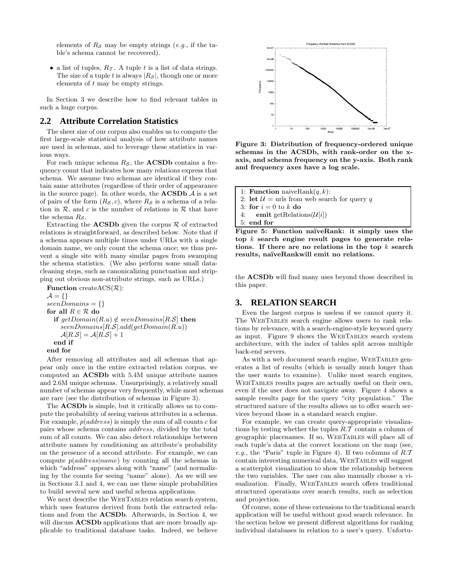elements of  $R_s$  may be empty strings (e.g., if the table's schema cannot be recovered).

• a list of tuples,  $R_{\mathcal{T}}$ . A tuple t is a list of data strings. The size of a tuple t is always  $|R_{\mathcal{S}}|$ , though one or more elements of t may be empty strings.

In Section 3 we describe how to find relevant tables in such a huge corpus.

#### **2.2 Attribute Correlation Statistics**

The sheer size of our corpus also enables us to compute the first large-scale statistical analysis of how attribute names are used in schemas, and to leverage these statistics in various ways.

For each unique schema  $R<sub>S</sub>$ , the **ACSDb** contains a frequency count that indicates how many relations express that schema. We assume two schemas are identical if they contain same attributes (regardless of their order of appearance in the source page). In other words, the  $ACSDD \mathcal{A}$  is a set of pairs of the form  $(R<sub>S</sub>, c)$ , where  $R<sub>S</sub>$  is a schema of a relation in  $\mathcal{R}$ , and c is the number of relations in  $\mathcal{R}$  that have the schema  $R_{\mathcal{S}}$ .

Extracting the  $ACSDb$  given the corpus  $R$  of extracted relations is straightforward, as described below. Note that if a schema appears multiple times under URLs with a single domain name, we only count the schema once; we thus prevent a single site with many similar pages from swamping the schema statistics. (We also perform some small datacleaning steps, such as canonicalizing punctuation and stripping out obvious non-attribute strings, such as URLs.)

**Function** create $\text{ACS}(\mathcal{R})$ :  $\mathcal{A} = \{\}\$  $seen Domains = \{\}$ for all  $R \in \mathcal{R}$  do if  $getDomain(R.u) \notin seenDomains[R.S]$  then  $seen Domains[R.S].add(getDomain(R.u))$  $A[R.S] = A[R.S] + 1$ end if end for

After removing all attributes and all schemas that appear only once in the entire extracted relation corpus, we computed an ACSDb with 5.4M unique attribute names and 2.6M unique schemas. Unsurprisingly, a relatively small number of schemas appear very frequently, while most schemas are rare (see the distribution of schemas in Figure 3).

The ACSDb is simple, but it critically allows us to compute the probability of seeing various attributes in a schema. For example,  $p(address)$  is simply the sum of all counts c for pairs whose schema contains address, divided by the total sum of all counts. We can also detect relationships between attribute names by conditioning an attribute's probability on the presence of a second attribute. For example, we can compute  $p(address|name)$  by counting all the schemas in which "address" appears along with "name" (and normalizing by the counts for seeing "name" alone). As we will see in Sections 3.1 and 4, we can use these simple probabilities to build several new and useful schema applications.

We next describe the WEBTABLES relation search system, which uses features derived from both the extracted relations and from the ACSDb. Afterwards, in Section 4, we will discuss **ACSDb** applications that are more broadly applicable to traditional database tasks. Indeed, we believe



Figure 3: Distribution of frequency-ordered unique schemas in the ACSDb, with rank-order on the xaxis, and schema frequency on the y-axis. Both rank and frequency axes have a log scale.

- 1: **Function** naiveRank $(q, k)$ :
- 2: let  $U = \text{urls from web search for query } q$

3: for  $i = 0$  to k do

4: **emit** getRelations( $\mathcal{U}[i]$ )

5: end for

Figure 5: Function naïveRank: it simply uses the top  $k$  search engine result pages to generate relations. If there are no relations in the top  $k$  search results, naïveRankwill emit no relations.

the ACSDb will find many uses beyond those described in this paper.

# **3. RELATION SEARCH**

Even the largest corpus is useless if we cannot query it. The WebTables search engine allows users to rank relations by relevance, with a search-engine-style keyword query as input. Figure 9 shows the WebTables search system architecture, with the index of tables split across multiple back-end servers.

As with a web document search engine, WEBTABLES generates a list of results (which is usually much longer than the user wants to examine). Unlike most search engines, WebTables results pages are actually useful on their own, even if the user does not navigate away. Figure 4 shows a sample results page for the query "city population." The structured nature of the results allows us to offer search services beyond those in a standard search engine.

For example, we can create query-appropriate visualizations by testing whether the tuples  $R.\mathcal{T}$  contain a column of geographic placenames. If so, WebTables will place all of each tuple's data at the correct locations on the map (see, e.g., the "Paris" tuple in Figure 4). If two columns of  $R.\mathcal{T}$ contain interesting numerical data, WEBTABLES will suggest a scatterplot visualization to show the relationship between the two variables. The user can also manually choose a visualization. Finally, WEBTABLES search offers traditional structured operations over search results, such as selection and projection.

Of course, none of these extensions to the traditional search application will be useful without good search relevance. In the section below we present different algorithms for ranking individual databases in relation to a user's query. Unfortu-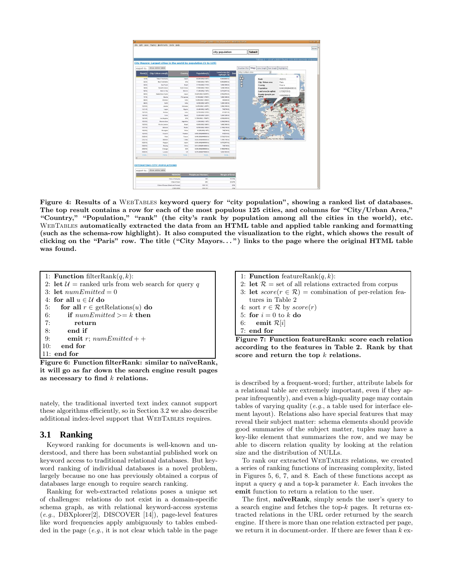

Figure 4: Results of a WEBTABLES keyword query for "city population", showing a ranked list of databases. The top result contains a row for each of the most populous 125 cities, and columns for "City/Urban Area," "Country," "Population," "rank" (the city's rank by population among all the cities in the world), etc. WebTables automatically extracted the data from an HTML table and applied table ranking and formatting (such as the schema-row highlight). It also computed the visualization to the right, which shows the result of clicking on the "Paris" row. The title ("City Mayors. . . ") links to the page where the original HTML table was found.

| 1: <b>Function</b> filter Rank $(q, k)$ :                      |
|----------------------------------------------------------------|
| 2: let $\mathcal{U} =$ ranked urls from web search for query q |
| 3: let $numEmitted = 0$                                        |
| 4: for all $u \in \mathcal{U}$ do                              |
| 5: for all $r \in \text{getRelations}(u)$ do                   |
| if $numEmitted \geq k$ then<br>6:                              |
| 7:<br>return                                                   |
| $8:$ end if                                                    |
| 9:<br>emit r; $numEmitted + +$                                 |
| end for<br>10:                                                 |
| $11:$ end for                                                  |

Figure 6: Function filterRank: similar to naïveRank, it will go as far down the search engine result pages as necessary to find  $k$  relations.

nately, the traditional inverted text index cannot support these algorithms efficiently, so in Section 3.2 we also describe additional index-level support that WebTables requires.

#### **3.1 Ranking**

Keyword ranking for documents is well-known and understood, and there has been substantial published work on keyword access to traditional relational databases. But keyword ranking of individual databases is a novel problem, largely because no one has previously obtained a corpus of databases large enough to require search ranking.

Ranking for web-extracted relations poses a unique set of challenges: relations do not exist in a domain-specific schema graph, as with relational keyword-access systems (e.g., DBXplorer[2], DISCOVER [14]), page-level features like word frequencies apply ambiguously to tables embedded in the page  $(e.g., it is not clear which table in the page)$ 

| $\mathbf{r}$ . <b>I</b> another recounter contains $\mathbf{q}$ , $\mathbf{w}$ ). |
|-----------------------------------------------------------------------------------|
| 2: let $\mathcal{R} =$ set of all relations extracted from corpus                 |
| 3: let $score(r \in \mathcal{R})$ = combination of per-relation fea-              |
| tures in Table 2                                                                  |
|                                                                                   |

4: sort  $r \in \mathcal{R}$  by score $(r)$ 

1: **Function** feature  $\text{Rank}(a, k)$ :

- 5: for  $i = 0$  to k do
- 6: emit  $\mathcal{R}[i]$
- 7: end for

Figure 7: Function featureRank: score each relation according to the features in Table 2. Rank by that score and return the top  $k$  relations.

is described by a frequent-word; further, attribute labels for a relational table are extremely important, even if they appear infrequently), and even a high-quality page may contain tables of varying quality  $(e.g., a$  table used for interface element layout). Relations also have special features that may reveal their subject matter: schema elements should provide good summaries of the subject matter, tuples may have a key-like element that summarizes the row, and we may be able to discern relation quality by looking at the relation size and the distribution of NULLs.

To rank our extracted WebTables relations, we created a series of ranking functions of increasing complexity, listed in Figures 5, 6, 7, and 8. Each of these functions accept as input a query q and a top-k parameter k. Each invokes the emit function to return a relation to the user.

The first, naïveRank, simply sends the user's query to a search engine and fetches the top-k pages. It returns extracted relations in the URL order returned by the search engine. If there is more than one relation extracted per page, we return it in document-order. If there are fewer than  $k$  ex-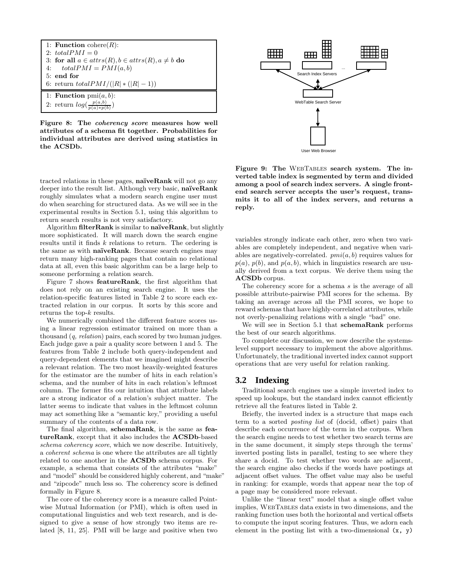| 1: <b>Function</b> cohere( $R$ ):<br>2: $totalPMI = 0$                       |
|------------------------------------------------------------------------------|
| 3: for all $a \in \text{attrs}(R)$ , $b \in \text{attrs}(R)$ , $a \neq b$ do |
| 4: $totalPMI = PMI(a, b)$<br>$5:$ end for                                    |
| 6: return $totalPMI/( R  * ( R -1))$                                         |
| 1: Function $pmi(a, b)$ :                                                    |
| 2: return $log(\frac{p(a,b)}{p(a)*p(b)})$                                    |

Figure 8: The coherency score measures how well attributes of a schema fit together. Probabilities for individual attributes are derived using statistics in the ACSDb.

tracted relations in these pages, naïveRank will not go any deeper into the result list. Although very basic, naïveRank roughly simulates what a modern search engine user must do when searching for structured data. As we will see in the experimental results in Section 5.1, using this algorithm to return search results is not very satisfactory.

Algorithm filterRank is similar to naïveRank, but slightly more sophisticated. It will march down the search engine results until it finds k relations to return. The ordering is the same as with **naïveRank**. Because search engines may return many high-ranking pages that contain no relational data at all, even this basic algorithm can be a large help to someone performing a relation search.

Figure 7 shows featureRank, the first algorithm that does not rely on an existing search engine. It uses the relation-specific features listed in Table 2 to score each extracted relation in our corpus. It sorts by this score and returns the top-k results.

We numerically combined the different feature scores using a linear regression estimator trained on more than a thousand (q, relation) pairs, each scored by two human judges. Each judge gave a pair a quality score between 1 and 5. The features from Table 2 include both query-independent and query-dependent elements that we imagined might describe a relevant relation. The two most heavily-weighted features for the estimator are the number of hits in each relation's schema, and the number of hits in each relation's leftmost column. The former fits our intuition that attribute labels are a strong indicator of a relation's subject matter. The latter seems to indicate that values in the leftmost column may act something like a "semantic key," providing a useful summary of the contents of a data row.

The final algorithm, schemaRank, is the same as featureRank, except that it also includes the ACSDb-based schema coherency score, which we now describe. Intuitively, a coherent schema is one where the attributes are all tightly related to one another in the ACSDb schema corpus. For example, a schema that consists of the attributes "make" and "model" should be considered highly coherent, and "make" and "zipcode" much less so. The coherency score is defined formally in Figure 8.

The core of the coherency score is a measure called Pointwise Mutual Information (or PMI), which is often used in computational linguistics and web text research, and is designed to give a sense of how strongly two items are related [8, 11, 25]. PMI will be large and positive when two



Figure 9: The WEBTABLES search system. The inverted table index is segmented by term and divided among a pool of search index servers. A single frontend search server accepts the user's request, transmits it to all of the index servers, and returns a reply.

variables strongly indicate each other, zero when two variables are completely independent, and negative when variables are negatively-correlated.  $pmi(a, b)$  requires values for  $p(a)$ ,  $p(b)$ , and  $p(a, b)$ , which in linguistics research are usually derived from a text corpus. We derive them using the ACSDb corpus.

The coherency score for a schema s is the average of all possible attribute-pairwise PMI scores for the schema. By taking an average across all the PMI scores, we hope to reward schemas that have highly-correlated attributes, while not overly-penalizing relations with a single "bad" one.

We will see in Section 5.1 that schemaRank performs the best of our search algorithms.

To complete our discussion, we now describe the systemslevel support necessary to implement the above algorithms. Unfortunately, the traditional inverted index cannot support operations that are very useful for relation ranking.

#### **3.2 Indexing**

Traditional search engines use a simple inverted index to speed up lookups, but the standard index cannot efficiently retrieve all the features listed in Table 2.

Briefly, the inverted index is a structure that maps each term to a sorted posting list of (docid, offset) pairs that describe each occurrence of the term in the corpus. When the search engine needs to test whether two search terms are in the same document, it simply steps through the terms' inverted posting lists in parallel, testing to see where they share a docid. To test whether two words are adjacent, the search engine also checks if the words have postings at adjacent offset values. The offset value may also be useful in ranking: for example, words that appear near the top of a page may be considered more relevant.

Unlike the "linear text" model that a single offset value implies, WebTables data exists in two dimensions, and the ranking function uses both the horizontal and vertical offsets to compute the input scoring features. Thus, we adorn each element in the posting list with a two-dimensional  $(x, y)$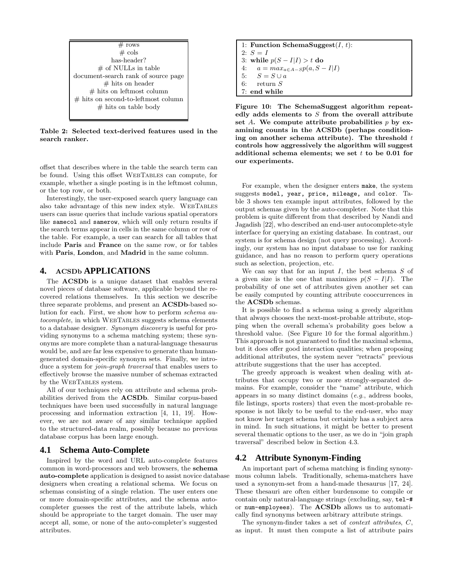

Table 2: Selected text-derived features used in the search ranker.

offset that describes where in the table the search term can be found. Using this offset WebTables can compute, for example, whether a single posting is in the leftmost column, or the top row, or both.

Interestingly, the user-exposed search query language can also take advantage of this new index style. WebTables users can issue queries that include various spatial operators like samecol and samerow, which will only return results if the search terms appear in cells in the same column or row of the table. For example, a user can search for all tables that include Paris and France on the same row, or for tables with Paris, London, and Madrid in the same column.

## **4.** ACSDb **APPLICATIONS**

The ACSDb is a unique dataset that enables several novel pieces of database software, applicable beyond the recovered relations themselves. In this section we describe three separate problems, and present an ACSDb-based solution for each. First, we show how to perform schema autocomplete, in which WEBTABLES suggests schema elements to a database designer. Synonym discovery is useful for providing synonyms to a schema matching system; these synonyms are more complete than a natural-language thesaurus would be, and are far less expensive to generate than humangenerated domain-specific synonym sets. Finally, we introduce a system for *join-graph traversal* that enables users to effectively browse the massive number of schemas extracted by the WebTables system.

All of our techniques rely on attribute and schema probabilities derived from the ACSDb. Similar corpus-based techniques have been used successfully in natural language processing and information extraction [4, 11, 19]. However, we are not aware of any similar technique applied to the structured-data realm, possibly because no previous database corpus has been large enough.

#### **4.1 Schema Auto-Complete**

Inspired by the word and URL auto-complete features common in word-processors and web browsers, the schema auto-complete application is designed to assist novice database designers when creating a relational schema. We focus on schemas consisting of a single relation. The user enters one or more domain-specific attributes, and the schema autocompleter guesses the rest of the attribute labels, which should be appropriate to the target domain. The user may accept all, some, or none of the auto-completer's suggested attributes.

| 1: Function SchemaSuggest $(I, t)$ :             |
|--------------------------------------------------|
| 2: $S = I$                                       |
| 3: while $p(S-I I) > t$ do                       |
| 4: $a = max_{a \in A \setminus S} p(a, S - I I)$ |
| 5: $S = S \cup a$                                |
| 6: return $S$                                    |
| 7: end while                                     |

Figure 10: The SchemaSuggest algorithm repeatedly adds elements to  $S$  from the overall attribute set A. We compute attribute probabilities  $p$  by examining counts in the ACSDb (perhaps conditioning on another schema attribute). The threshold  $t$ controls how aggressively the algorithm will suggest additional schema elements; we set  $t$  to be 0.01 for our experiments.

For example, when the designer enters make, the system suggests model, year, price, mileage, and color. Table 3 shows ten example input attributes, followed by the output schemas given by the auto-completer. Note that this problem is quite different from that described by Nandi and Jagadish [22], who described an end-user autocomplete-style interface for querying an existing database. In contrast, our system is for schema design (not query processing). Accordingly, our system has no input database to use for ranking guidance, and has no reason to perform query operations such as selection, projection, etc.

We can say that for an input  $I$ , the best schema  $S$  of a given size is the one that maximizes  $p(S - I|I)$ . The probability of one set of attributes given another set can be easily computed by counting attribute cooccurrences in the ACSDb schemas.

It is possible to find a schema using a greedy algorithm that always chooses the next-most-probable attribute, stopping when the overall schema's probability goes below a threshold value. (See Figure 10 for the formal algorithm.) This approach is not guaranteed to find the maximal schema, but it does offer good interaction qualities; when proposing additional attributes, the system never "retracts" previous attribute suggestions that the user has accepted.

The greedy approach is weakest when dealing with attributes that occupy two or more strongly-separated domains. For example, consider the "name" attribute, which appears in so many distinct domains (e.g., address books, file listings, sports rosters) that even the most-probable response is not likely to be useful to the end-user, who may not know her target schema but certainly has a subject area in mind. In such situations, it might be better to present several thematic options to the user, as we do in "join graph traversal" described below in Section 4.3.

# **4.2 Attribute Synonym-Finding**

An important part of schema matching is finding synonymous column labels. Traditionally, schema-matchers have used a synonym-set from a hand-made thesaurus [17, 24]. These thesauri are often either burdensome to compile or contain only natural-language strings (excluding, say, tel-# or num-employees). The ACSDb allows us to automatically find synonyms between arbitrary attribute strings.

The synonym-finder takes a set of context attributes, C, as input. It must then compute a list of attribute pairs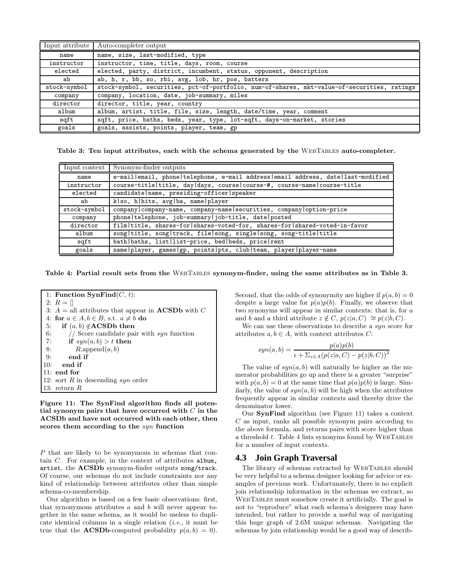| Input attribute | Auto-completer output                                                                       |
|-----------------|---------------------------------------------------------------------------------------------|
| name            | name, size, last-modified, type                                                             |
| instructor      | instructor, time, title, days, room, course                                                 |
| elected         | elected, party, district, incumbent, status, opponent, description                          |
| ab              | ab, h, r, bb, so, rbi, avg, lob, hr, pos, batters                                           |
| stock-symbol    | stock-symbol, securities, pct-of-portfolio, num-of-shares, mkt-value-of-securities, ratings |
| company         | company, location, date, job-summary, miles                                                 |
| director        | director, title, year, country                                                              |
| album           | album, artist, title, file, size, length, date/time, year, comment                          |
| sqft            | sqft, price, baths, beds, year, type, lot-sqft, days-on-market, stories                     |
| goals           | goals, assists, points, player, team, gp                                                    |

Table 3: Ten input attributes, each with the schema generated by the WEBTABLES auto-completer.

| Input context | Synonym-finder outputs                                                          |
|---------------|---------------------------------------------------------------------------------|
| name          | e-mail email, phone telephone, e-mail address email address, date last-modified |
| instructor    | course-title   title, day   days, course   course-#, course-name   course-title |
| elected       | candidate name, presiding-officer speaker                                       |
| ab            | k so, h hits, avg ba, name player                                               |
| stock-symbol  | company company-name, company-name securities, company option-price             |
| company       | phone   telephone, job-summary   job-title, date   posted                       |
| director      | film   title, shares-for   shares-voted-for, shares-for   shared-voted-in-favor |
| album         | song title, song track, file song, single song, song-title title                |
| sqft          | bath   baths, list   list-price, bed   beds, price   rent                       |
| goals         | name player, games   gp, points   pts, club   team, player   player-name        |

Table 4: Partial result sets from the WEBTABLES synonym-finder, using the same attributes as in Table 3.



Figure 11: The SynFind algorithm finds all potential synonym pairs that have occurred with  $C$  in the ACSDb and have not occurred with each other, then scores them according to the syn function

P that are likely to be synonymous in schemas that contain C. For example, in the context of attributes album, artist, the ACSDb synonym-finder outputs song/track. Of course, our schemas do not include constraints nor any kind of relationship between attributes other than simple schema-co-membership.

Our algorithm is based on a few basic observations: first, that synonymous attributes  $a$  and  $b$  will never appear together in the same schema, as it would be useless to duplicate identical columns in a single relation  $(i.e.,$  it must be true that the **ACSDb**-computed probability  $p(a, b) = 0$ .

Second, that the odds of synonymity are higher if  $p(a, b) = 0$ despite a large value for  $p(a)p(b)$ . Finally, we observe that two synonyms will appear in similar contexts: that is, for a and b and a third attribute  $z \notin C$ ,  $p(z|a, C) \cong p(z|b, C)$ .

We can use these observations to describe a  $syn$  score for attributes  $a, b \in A$ , with context attributes C:

$$
syn(a,b) = \frac{p(a)p(b)}{\epsilon + \sum_{z \in A} (p(z|a,C) - p(z|b,C))^2}
$$

The value of  $syn(a, b)$  will naturally be higher as the numerator probabilities go up and there is a greater "surprise" with  $p(a, b) = 0$  at the same time that  $p(a)p(b)$  is large. Similarly, the value of  $syn(a, b)$  will be high when the attributes frequently appear in similar contexts and thereby drive the denominator lower.

Our SynFind algorithm (see Figure 11) takes a context C as input, ranks all possible synonym pairs according to the above formula, and returns pairs with score higher than a threshold  $t$ . Table 4 lists synonyms found by WEBTABLES for a number of input contexts.

#### **4.3 Join Graph Traversal**

The library of schemas extracted by WEBTABLES should be very helpful to a schema designer looking for advice or examples of previous work. Unfortunately, there is no explicit join relationship information in the schemas we extract, so WebTables must somehow create it artificially. The goal is not to "reproduce" what each schema's designers may have intended, but rather to provide a useful way of navigating this huge graph of 2.6M unique schemas. Navigating the schemas by join relationship would be a good way of describ-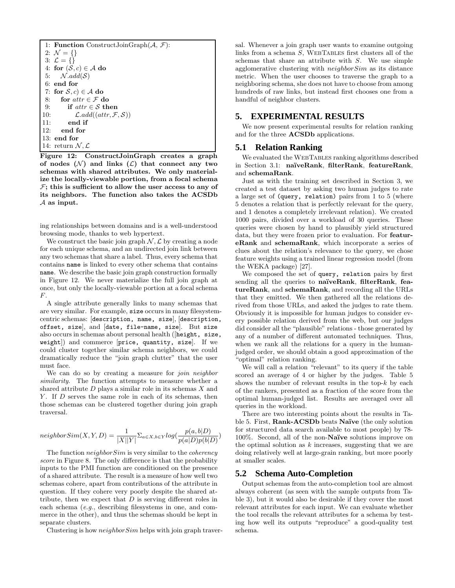```
1: Function ConstructJoinGraph(A, \mathcal{F}):
 2: \mathcal{N} = \{\}3: \mathcal{L} = \{\}4: for (S, c) \in A do
 5: \mathcal{N}.\text{add}(\mathcal{S})6: end for
 7: for S, c \in A do
 8: for attr \in \mathcal{F} do
 9: if attr \in \mathcal{S} then
10: \mathcal{L}.\text{add}((\text{attr}, \mathcal{F}, \mathcal{S}))11: end if<br>12: end for
         end for
13: end for
14: return \mathcal{N}, \mathcal{L}
```
Figure 12: ConstructJoinGraph creates a graph of nodes  $(N)$  and links  $(L)$  that connect any two schemas with shared attributes. We only materialize the locally-viewable portion, from a focal schema  $F$ ; this is sufficient to allow the user access to any of its neighbors. The function also takes the ACSDb A as input.

ing relationships between domains and is a well-understood browsing mode, thanks to web hypertext.

We construct the basic join graph  $N$ ,  $\mathcal{L}$  by creating a node for each unique schema, and an undirected join link between any two schemas that share a label. Thus, every schema that contains name is linked to every other schema that contains name. We describe the basic join graph construction formally in Figure 12. We never materialize the full join graph at once, but only the locally-viewable portion at a focal schema F.

A single attribute generally links to many schemas that are very similar. For example, size occurs in many filesystemcentric schemas: [description, name, size], [description, offset, size], and [date, file-name, size]. But size also occurs in schemas about personal health ([height, size, weight]) and commerce [price, quantity, size]. If we could cluster together similar schema neighbors, we could dramatically reduce the "join graph clutter" that the user must face.

We can do so by creating a measure for *join neighbor* similarity. The function attempts to measure whether a shared attribute  $D$  plays a similar role in its schemas  $X$  and Y. If D serves the same role in each of its schemas, then those schemas can be clustered together during join graph traversal.

$$
neighborSim(X, Y, D) = \frac{1}{|X||Y|} \sum_{a \in X, b \in Y} log(\frac{p(a, b|D)}{p(a|D)p(b|D)})
$$

The function  $neighborSim$  is very similar to the *coherency* score in Figure 8. The only difference is that the probability inputs to the PMI function are conditioned on the presence of a shared attribute. The result is a measure of how well two schemas cohere, apart from contributions of the attribute in question. If they cohere very poorly despite the shared attribute, then we expect that  $D$  is serving different roles in each schema (e.g., describing filesystems in one, and commerce in the other), and thus the schemas should be kept in separate clusters.

Clustering is how  $neighborSim$  helps with join graph traver-

sal. Whenever a join graph user wants to examine outgoing links from a schema  $S$ , WEBTABLES first clusters all of the schemas that share an attribute with S. We use simple agglomerative clustering with neighborSim as its distance metric. When the user chooses to traverse the graph to a neighboring schema, she does not have to choose from among hundreds of raw links, but instead first chooses one from a handful of neighbor clusters.

# **5. EXPERIMENTAL RESULTS**

We now present experimental results for relation ranking and for the three ACSDb applications.

## **5.1 Relation Ranking**

We evaluated the WEBTABLES ranking algorithms described in Section 3.1: naïveRank, filterRank, featureRank, and schemaRank.

Just as with the training set described in Section 3, we created a test dataset by asking two human judges to rate a large set of (query, relation) pairs from 1 to 5 (where 5 denotes a relation that is perfectly relevant for the query, and 1 denotes a completely irrelevant relation). We created 1000 pairs, divided over a workload of 30 queries. These queries were chosen by hand to plausibly yield structured data, but they were frozen prior to evaluation. For featureRank and schemaRank, which incorporate a series of clues about the relation's relevance to the query, we chose feature weights using a trained linear regression model (from the WEKA package) [27].

We composed the set of query, relation pairs by first sending all the queries to naïveRank, filterRank, featureRank, and schemaRank, and recording all the URLs that they emitted. We then gathered all the relations derived from those URLs, and asked the judges to rate them. Obviously it is impossible for human judges to consider every possible relation derived from the web, but our judges did consider all the "plausible" relations - those generated by any of a number of different automated techniques. Thus, when we rank all the relations for a query in the humanjudged order, we should obtain a good approximation of the "optimal" relation ranking.

We will call a relation "relevant" to its query if the table scored an average of 4 or higher by the judges. Table 5 shows the number of relevant results in the top- $k$  by each of the rankers, presented as a fraction of the score from the optimal human-judged list. Results are averaged over all queries in the workload.

There are two interesting points about the results in Table 5. First, Rank-ACSDb beats Naïve (the only solution for structured data search available to most people) by 78-  $100\%$ . Second, all of the non-**Naïve** solutions improve on the optimal solution as  $k$  increases, suggesting that we are doing relatively well at large-grain ranking, but more poorly at smaller scales.

# **5.2 Schema Auto-Completion**

Output schemas from the auto-completion tool are almost always coherent (as seen with the sample outputs from Table 3), but it would also be desirable if they cover the most relevant attributes for each input. We can evaluate whether the tool recalls the relevant attributes for a schema by testing how well its outputs "reproduce" a good-quality test schema.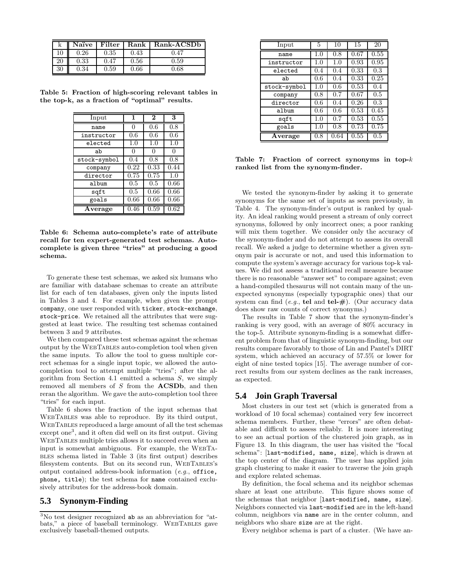|    | Naïve Filter |      |      | Rank   Rank-ACSDb |
|----|--------------|------|------|-------------------|
| 10 | 0.26         | 0.35 | 0.43 | 0.47              |
| 20 | 0.33         | 0.47 | 0.56 | 0.59              |
| 30 | $\rm 0.34$   | 0.59 | 0.66 | ገ.68              |

Table 5: Fraction of high-scoring relevant tables in the top-k, as a fraction of "optimal" results.

| Input        | 1            | $\bf{2}$      | 3    |
|--------------|--------------|---------------|------|
| name         | $\mathbf{0}$ | 0.6           | 0.8  |
| instructor   | 0.6          | 0.6           | 0.6  |
| elected      | 1.0          | 1.0           | 1.0  |
| ab           | $\mathbf{0}$ | $\mathbf{0}$  | 0    |
| stock-symbol | 0.4          | 0.8           | 0.8  |
| company      | 0.22         | 0.33          | 0.44 |
| director     | 0.75         | 0.75          | 1.0  |
| album        | 0.5          | $0.5^{\circ}$ | 0.66 |
| sqft         | 0.5          | $0.66\,$      | 0.66 |
| goals        | 0.66         | 0.66          | 0.66 |
| Average      | 0.46         | 0.59          | 0.62 |

Table 6: Schema auto-complete's rate of attribute recall for ten expert-generated test schemas. Autocomplete is given three "tries" at producing a good schema.

To generate these test schemas, we asked six humans who are familiar with database schemas to create an attribute list for each of ten databases, given only the inputs listed in Tables 3 and 4. For example, when given the prompt company, one user responded with ticker, stock-exchange, stock-price. We retained all the attributes that were suggested at least twice. The resulting test schemas contained between 3 and 9 attributes.

We then compared these test schemas against the schemas output by the WebTables auto-completion tool when given the same inputs. To allow the tool to guess multiple correct schemas for a single input topic, we allowed the autocompletion tool to attempt multiple "tries"; after the algorithm from Section 4.1 emitted a schema  $S$ , we simply removed all members of  $S$  from the  $ACSDb$ , and then reran the algorithm. We gave the auto-completion tool three "tries" for each input.

Table 6 shows the fraction of the input schemas that WebTables was able to reproduce. By its third output, WebTables reproduced a large amount of all the test schemas except one<sup>3</sup>, and it often did well on its first output. Giving WebTables multiple tries allows it to succeed even when an input is somewhat ambiguous. For example, the WebTables schema listed in Table 3 (its first output) describes filesystem contents. But on its second run, WEBTABLES's output contained address-book information (e.g., office, phone, title); the test schema for name contained exclusively attributes for the address-book domain.

#### **5.3 Synonym-Finding**

<sup>3</sup>No test designer recognized ab as an abbreviation for "atbats," a piece of baseball terminology. WEBTABLES gave exclusively baseball-themed outputs.

| Input        | 5   | 10   | 15   | 20   |
|--------------|-----|------|------|------|
| name         | 1.0 | 0.8  | 0.67 | 0.55 |
| instructor   | 1.0 | 1.0  | 0.93 | 0.95 |
| elected      | 0.4 | 0.4  | 0.33 | 0.3  |
| ab           | 0.6 | 0.4  | 0.33 | 0.25 |
| stock-symbol | 1.0 | 0.6  | 0.53 | 0.4  |
| company      | 0.8 | 0.7  | 0.67 | 0.5  |
| director     | 0.6 | 0.4  | 0.26 | 0.3  |
| album        | 0.6 | 0.6  | 0.53 | 0.45 |
| sqft         | 1.0 | 0.7  | 0.53 | 0.55 |
| goals        | 1.0 | 0.8  | 0.73 | 0.75 |
| Average      | 0.8 | 0.64 | 0.55 | 0.5  |

Table 7: Fraction of correct synonyms in top- $k$ ranked list from the synonym-finder.

We tested the synonym-finder by asking it to generate synonyms for the same set of inputs as seen previously, in Table 4. The synonym-finder's output is ranked by quality. An ideal ranking would present a stream of only correct synonyms, followed by only incorrect ones; a poor ranking will mix them together. We consider only the accuracy of the synonym-finder and do not attempt to assess its overall recall. We asked a judge to determine whether a given synonym pair is accurate or not, and used this information to compute the system's average accuracy for various top-k values. We did not assess a traditional recall measure because there is no reasonable "answer set" to compare against; even a hand-compiled thesaurus will not contain many of the unexpected synonyms (especially typographic ones) that our system can find  $(e,q, \text{tel and tel-#}).$  (Our accuracy data does show raw counts of correct synonyms.)

The results in Table 7 show that the synonym-finder's ranking is very good, with an average of 80% accuracy in the top-5. Attribute synonym-finding is a somewhat different problem from that of linguistic synonym-finding, but our results compare favorably to those of Lin and Pantel's DIRT system, which achieved an accuracy of 57.5% or lower for eight of nine tested topics [15]. The average number of correct results from our system declines as the rank increases, as expected.

## **5.4 Join Graph Traversal**

Most clusters in our test set (which is generated from a workload of 10 focal schemas) contained very few incorrect schema members. Further, these "errors" are often debatable and difficult to assess reliably. It is more interesting to see an actual portion of the clustered join graph, as in Figure 13. In this diagram, the user has visited the "focal schema": [last-modified, name, size], which is drawn at the top center of the diagram. The user has applied join graph clustering to make it easier to traverse the join graph and explore related schemas.

By definition, the focal schema and its neighbor schemas share at least one attribute. This figure shows some of the schemas that neighbor [last-modified, name, size]. Neighbors connected via last-modified are in the left-hand column, neighbors via name are in the center column, and neighbors who share size are at the right.

Every neighbor schema is part of a cluster. (We have an-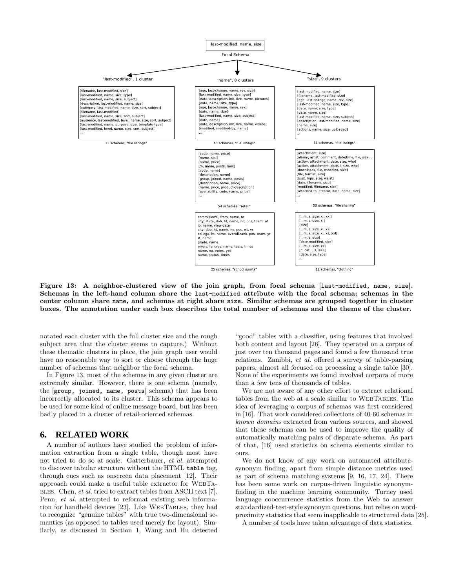

Figure 13: A neighbor-clustered view of the join graph, from focal schema [last-modified, name, size]. Schemas in the left-hand column share the last-modified attribute with the focal schema; schemas in the center column share name, and schemas at right share size. Similar schemas are grouped together in cluster boxes. The annotation under each box describes the total number of schemas and the theme of the cluster.

notated each cluster with the full cluster size and the rough subject area that the cluster seems to capture.) Without these thematic clusters in place, the join graph user would have no reasonable way to sort or choose through the huge number of schemas that neighbor the focal schema.

In Figure 13, most of the schemas in any given cluster are extremely similar. However, there is one schema (namely, the [group, joined, name, posts] schema) that has been incorrectly allocated to its cluster. This schema appears to be used for some kind of online message board, but has been badly placed in a cluster of retail-oriented schemas.

# **6. RELATED WORK**

A number of authors have studied the problem of information extraction from a single table, though most have not tried to do so at scale. Gatterbauer, et al. attempted to discover tabular structure without the HTML table tag, through cues such as onscreen data placement [12]. Their approach could make a useful table extractor for WebTables. Chen, et al. tried to extract tables from ASCII text [7]. Penn, et al. attempted to reformat existing web information for handheld devices [23]. Like WEBTABLES, they had to recognize "genuine tables" with true two-dimensional semantics (as opposed to tables used merely for layout). Similarly, as discussed in Section 1, Wang and Hu detected

"good" tables with a classifier, using features that involved both content and layout [26]. They operated on a corpus of just over ten thousand pages and found a few thousand true relations. Zanibbi, et al. offered a survey of table-parsing papers, almost all focused on processing a single table [30]. None of the experiments we found involved corpora of more than a few tens of thousands of tables.

We are not aware of any other effort to extract relational tables from the web at a scale similar to WebTables. The idea of leveraging a corpus of schemas was first considered in [16]. That work considered collections of 40-60 schemas in known domains extracted from various sources, and showed that these schemas can be used to improve the quality of automatically matching pairs of disparate schema. As part of that, [16] used statistics on schema elements similar to ours.

We do not know of any work on automated attributesynonym finding, apart from simple distance metrics used as part of schema matching systems [9, 16, 17, 24]. There has been some work on corpus-driven linguistic synonymfinding in the machine learning community. Turney used language cooccurrence statistics from the Web to answer standardized-test-style synonym questions, but relies on wordproximity statistics that seem inapplicable to structured data [25].

A number of tools have taken advantage of data statistics,